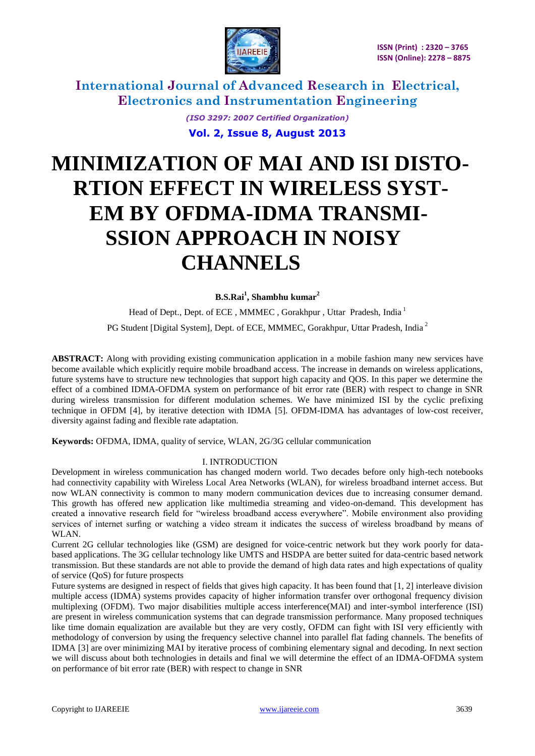

> *(ISO 3297: 2007 Certified Organization)* **Vol. 2, Issue 8, August 2013**

# **MINIMIZATION OF MAI AND ISI DISTO- RTION EFFECT IN WIRELESS SYST- EM BY OFDMA-IDMA TRANSMI- SSION APPROACH IN NOISY CHANNELS**

**B.S.Rai<sup>1</sup> , Shambhu kumar<sup>2</sup>**

Head of Dept., Dept. of ECE, MMMEC, Gorakhpur, Uttar Pradesh, India<sup>1</sup>

PG Student [Digital System], Dept. of ECE, MMMEC, Gorakhpur, Uttar Pradesh, India<sup>2</sup>

**ABSTRACT:** Along with providing existing communication application in a mobile fashion many new services have become available which explicitly require mobile broadband access. The increase in demands on wireless applications, future systems have to structure new technologies that support high capacity and QOS. In this paper we determine the effect of a combined IDMA-OFDMA system on performance of bit error rate (BER) with respect to change in SNR during wireless transmission for different modulation schemes. We have minimized ISI by the cyclic prefixing technique in OFDM [4], by iterative detection with IDMA [5]. OFDM-IDMA has advantages of low-cost receiver, diversity against fading and flexible rate adaptation.

**Keywords:** OFDMA, IDMA, quality of service, WLAN, 2G/3G cellular communication

#### I. INTRODUCTION

Development in wireless communication has changed modern world. Two decades before only high-tech notebooks had connectivity capability with Wireless Local Area Networks (WLAN), for wireless broadband internet access. But now WLAN connectivity is common to many modern communication devices due to increasing consumer demand. This growth has offered new application like multimedia streaming and video-on-demand. This development has created a innovative research field for "wireless broadband access everywhere". Mobile environment also providing services of internet surfing or watching a video stream it indicates the success of wireless broadband by means of WLAN.

Current 2G cellular technologies like (GSM) are designed for voice-centric network but they work poorly for databased applications. The 3G cellular technology like UMTS and HSDPA are better suited for data-centric based network transmission. But these standards are not able to provide the demand of high data rates and high expectations of quality of service (QoS) for future prospects

Future systems are designed in respect of fields that gives high capacity. It has been found that [1, 2] interleave division multiple access (IDMA) systems provides capacity of higher information transfer over orthogonal frequency division multiplexing (OFDM). Two major disabilities multiple access interference(MAI) and inter-symbol interference (ISI) are present in wireless communication systems that can degrade transmission performance. Many proposed techniques like time domain equalization are available but they are very costly, OFDM can fight with ISI very efficiently with methodology of conversion by using the frequency selective channel into parallel flat fading channels. The benefits of IDMA [3] are over minimizing MAI by iterative process of combining elementary signal and decoding. In next section we will discuss about both technologies in details and final we will determine the effect of an IDMA-OFDMA system on performance of bit error rate (BER) with respect to change in SNR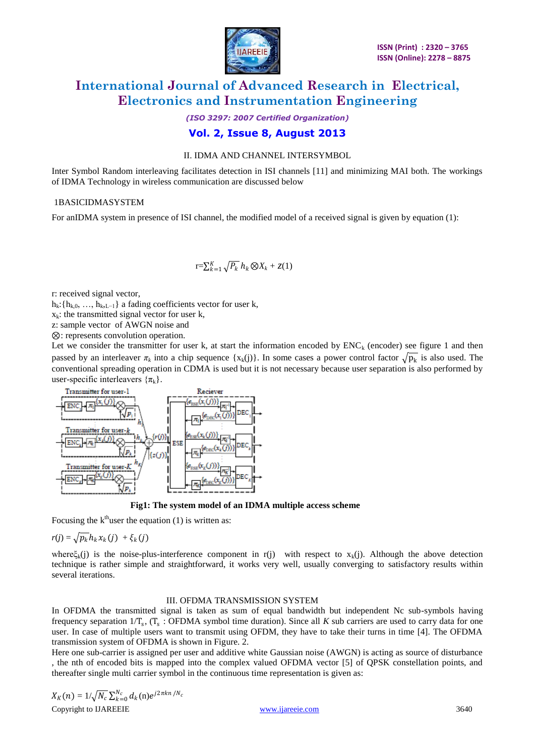

*(ISO 3297: 2007 Certified Organization)*

### **Vol. 2, Issue 8, August 2013**

#### II. IDMA AND CHANNEL INTERSYMBOL

Inter Symbol Random interleaving facilitates detection in ISI channels [11] and minimizing MAI both. The workings of IDMA Technology in wireless communication are discussed below

#### 1BASICIDMASYSTEM

For anIDMA system in presence of ISI channel, the modified model of a received signal is given by equation (1):

$$
\mathbf{r} = \sum_{k=1}^K \sqrt{P_k} \; h_k \otimes X_k + z(1)
$$

r: received signal vector,

 $h_k: \{h_{k,0}, \ldots, h_{k,L-1}\}\$ a fading coefficients vector for user k,

 $x_k$ : the transmitted signal vector for user k,

z: sample vector of AWGN noise and

⊗: represents convolution operation.

Let we consider the transmitter for user k, at start the information encoded by  $ENC_k$  (encoder) see figure 1 and then passed by an interleaver  $\pi_k$  into a chip sequence  $\{x_k(j)\}\$ . In some cases a power control factor  $\sqrt{p_k}$  is also used. The conventional spreading operation in CDMA is used but it is not necessary because user separation is also performed by user-specific interleavers  $\{\pi_k\}$ .



 **Fig1: The system model of an IDMA multiple access scheme**

Focusing the  $k<sup>th</sup>$ user the equation (1) is written as:

$$
r(j) = \sqrt{p_k} h_k x_k(j) + \xi_k(j)
$$

where $\xi_k(i)$  is the noise-plus-interference component in r(j) with respect to  $x_k(i)$ . Although the above detection technique is rather simple and straightforward, it works very well, usually converging to satisfactory results within several iterations.

#### III. OFDMA TRANSMISSION SYSTEM

In OFDMA the transmitted signal is taken as sum of equal bandwidth but independent Nc sub-symbols having frequency separation  $1/T_s$ ,  $(T_s : OFDMA$  symbol time duration). Since all *K* sub carriers are used to carry data for one user. In case of multiple users want to transmit using OFDM, they have to take their turns in time [4]. The OFDMA transmission system of OFDMA is shown in Figure. 2.

Here one sub-carrier is assigned per user and additive white Gaussian noise (AWGN) is acting as source of disturbance , the nth of encoded bits is mapped into the complex valued OFDMA vector [5] of QPSK constellation points, and thereafter single multi carrier symbol in the continuous time representation is given as:

$$
X_K(n) = 1/\sqrt{N_c} \sum_{k=0}^{N_c} d_k(n) e^{j2\pi kn/N_c}
$$
  
Copyright to IJAREEIE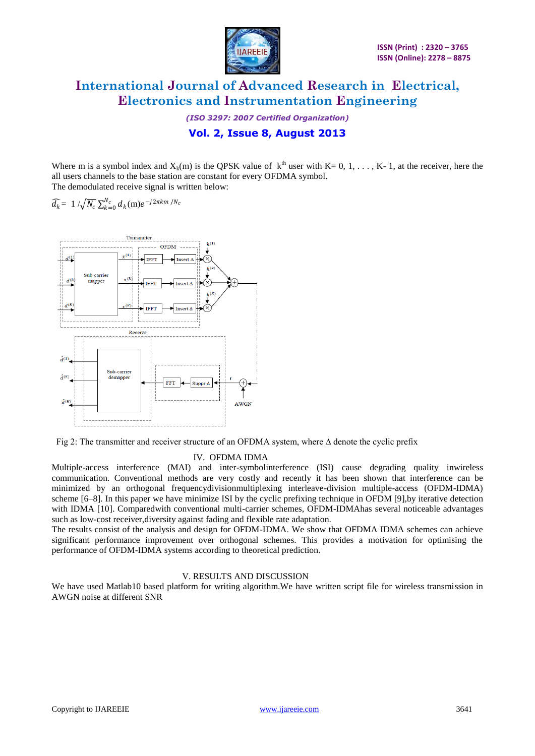

*(ISO 3297: 2007 Certified Organization)*

## **Vol. 2, Issue 8, August 2013**

Where m is a symbol index and  $X_k(m)$  is the QPSK value of  $k^{th}$  user with K= 0, 1, ..., K- 1, at the receiver, here the all users channels to the base station are constant for every OFDMA symbol. The demodulated receive signal is written below:

 $\widehat{d_k}$  = 1 / $\sqrt{N_c}\sum_{k=0}^{N_c} d_k(m)e^{-j2\pi km/N_c}$ 



Fig 2: The transmitter and receiver structure of an OFDMA system, where ∆ denote the cyclic prefix

#### IV. OFDMA IDMA

Multiple-access interference (MAI) and inter-symbolinterference (ISI) cause degrading quality inwireless communication. Conventional methods are very costly and recently it has been shown that interference can be minimized by an orthogonal frequencydivisionmultiplexing interleave-division multiple-access (OFDM-IDMA) scheme [6–8]. In this paper we have minimize ISI by the cyclic prefixing technique in OFDM [9],by iterative detection with IDMA [10]. Comparedwith conventional multi-carrier schemes, OFDM-IDMAhas several noticeable advantages such as low-cost receiver,diversity against fading and flexible rate adaptation.

The results consist of the analysis and design for OFDM-IDMA. We show that OFDMA IDMA schemes can achieve significant performance improvement over orthogonal schemes. This provides a motivation for optimising the performance of OFDM-IDMA systems according to theoretical prediction.

#### V. RESULTS AND DISCUSSION

We have used Matlab10 based platform for writing algorithm.We have written script file for wireless transmission in AWGN noise at different SNR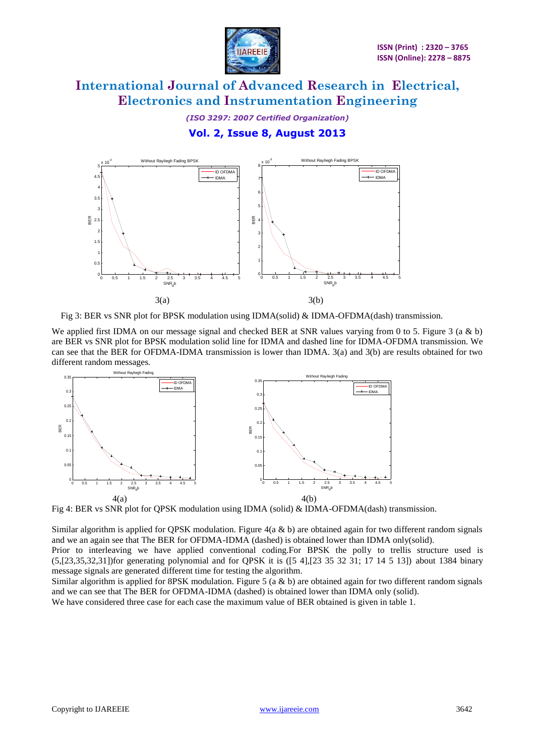

*(ISO 3297: 2007 Certified Organization)*

## **Vol. 2, Issue 8, August 2013**



Fig 3: BER vs SNR plot for BPSK modulation using IDMA(solid) & IDMA-OFDMA(dash) transmission.

We applied first IDMA on our message signal and checked BER at SNR values varying from 0 to 5. Figure 3 (a & b) are BER vs SNR plot for BPSK modulation solid line for IDMA and dashed line for IDMA-OFDMA transmission. We can see that the BER for OFDMA-IDMA transmission is lower than IDMA. 3(a) and 3(b) are results obtained for two different random messages.



Fig 4: BER vs SNR plot for QPSK modulation using IDMA (solid) & IDMA-OFDMA(dash) transmission.

Similar algorithm is applied for QPSK modulation. Figure  $4(a \& b)$  are obtained again for two different random signals and we an again see that The BER for OFDMA-IDMA (dashed) is obtained lower than IDMA only(solid).

Prior to interleaving we have applied conventional coding.For BPSK the polly to trellis structure used is (5,[23,35,32,31])for generating polynomial and for QPSK it is ([5 4],[23 35 32 31; 17 14 5 13]) about 1384 binary message signals are generated different time for testing the algorithm.

Similar algorithm is applied for 8PSK modulation. Figure 5 (a & b) are obtained again for two different random signals and we can see that The BER for OFDMA-IDMA (dashed) is obtained lower than IDMA only (solid).

We have considered three case for each case the maximum value of BER obtained is given in table 1.